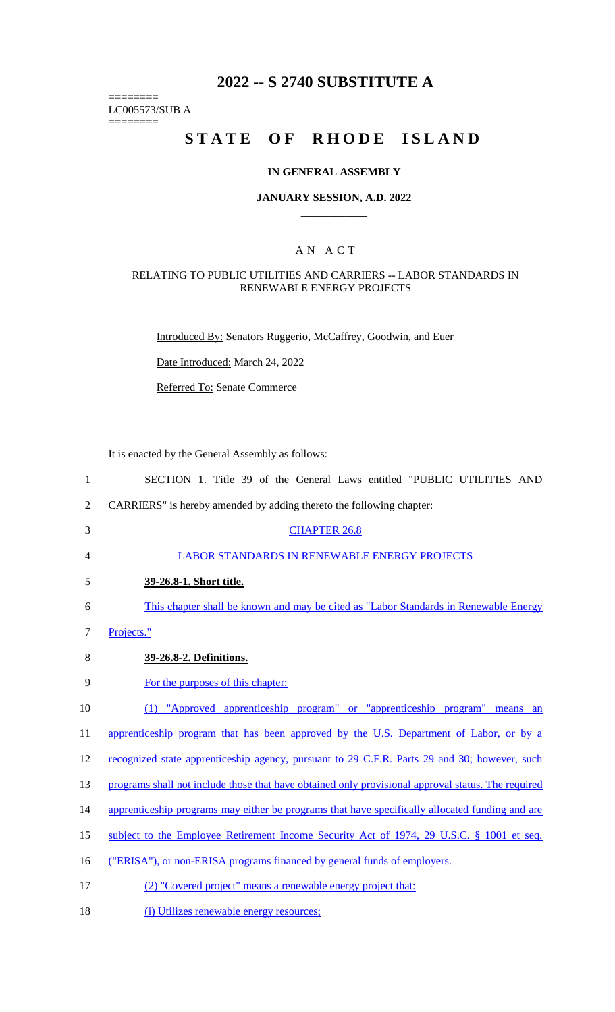# **2022 -- S 2740 SUBSTITUTE A**

======== LC005573/SUB A

========

# STATE OF RHODE ISLAND

### **IN GENERAL ASSEMBLY**

### **JANUARY SESSION, A.D. 2022 \_\_\_\_\_\_\_\_\_\_\_\_**

### A N A C T

### RELATING TO PUBLIC UTILITIES AND CARRIERS -- LABOR STANDARDS IN RENEWABLE ENERGY PROJECTS

Introduced By: Senators Ruggerio, McCaffrey, Goodwin, and Euer

Date Introduced: March 24, 2022

Referred To: Senate Commerce

It is enacted by the General Assembly as follows:

- 1 SECTION 1. Title 39 of the General Laws entitled "PUBLIC UTILITIES AND 2 CARRIERS" is hereby amended by adding thereto the following chapter: 3 CHAPTER 26.8 4 LABOR STANDARDS IN RENEWABLE ENERGY PROJECTS 5 **39-26.8-1. Short title.**  6 This chapter shall be known and may be cited as "Labor Standards in Renewable Energy 7 Projects." 8 **39-26.8-2. Definitions.**  9 For the purposes of this chapter: 10 (1) "Approved apprenticeship program" or "apprenticeship program" means an 11 apprenticeship program that has been approved by the U.S. Department of Labor, or by a 12 recognized state apprenticeship agency, pursuant to 29 C.F.R. Parts 29 and 30; however, such 13 programs shall not include those that have obtained only provisional approval status. The required 14 apprenticeship programs may either be programs that have specifically allocated funding and are 15 subject to the Employee Retirement Income Security Act of 1974, 29 U.S.C. § 1001 et seq. 16 ("ERISA"), or non-ERISA programs financed by general funds of employers. 17 (2) "Covered project" means a renewable energy project that:
- 18 (i) Utilizes renewable energy resources;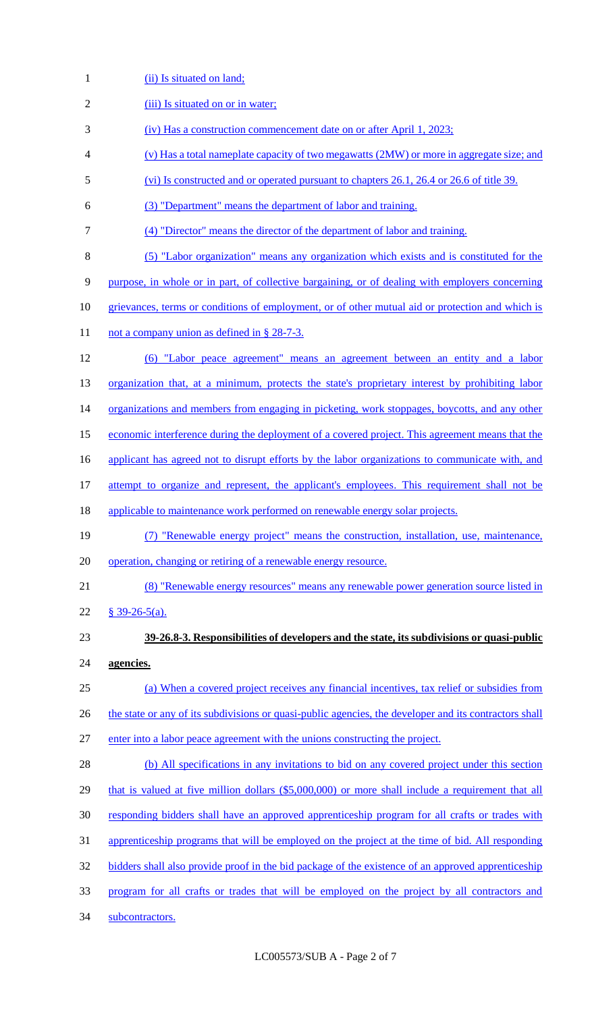1 (ii) Is situated on land;

| $\overline{2}$ | (iii) Is situated on or in water;                                                                      |
|----------------|--------------------------------------------------------------------------------------------------------|
| 3              | <u>(iv)</u> Has a construction commencement date on or after April 1, 2023;                            |
| 4              | (v) Has a total nameplate capacity of two megawatts (2MW) or more in aggregate size; and               |
| 5              | (vi) Is constructed and or operated pursuant to chapters 26.1, 26.4 or 26.6 of title 39.               |
| 6              | (3) "Department" means the department of labor and training.                                           |
| 7              | (4) "Director" means the director of the department of labor and training.                             |
| 8              | (5) "Labor organization" means any organization which exists and is constituted for the                |
| 9              | purpose, in whole or in part, of collective bargaining, or of dealing with employers concerning        |
| 10             | grievances, terms or conditions of employment, or of other mutual aid or protection and which is       |
| 11             | not a company union as defined in § 28-7-3.                                                            |
| 12             | (6) "Labor peace agreement" means an agreement between an entity and a labor                           |
| 13             | organization that, at a minimum, protects the state's proprietary interest by prohibiting labor        |
| 14             | organizations and members from engaging in picketing, work stoppages, boycotts, and any other          |
| 15             | economic interference during the deployment of a covered project. This agreement means that the        |
| 16             | applicant has agreed not to disrupt efforts by the labor organizations to communicate with, and        |
| 17             | attempt to organize and represent, the applicant's employees. This requirement shall not be            |
| 18             | applicable to maintenance work performed on renewable energy solar projects.                           |
| 19             | (7) "Renewable energy project" means the construction, installation, use, maintenance,                 |
| 20             | operation, changing or retiring of a renewable energy resource.                                        |
| 21             | (8) "Renewable energy resources" means any renewable power generation source listed in                 |
| 22             | $§$ 39-26-5(a).                                                                                        |
| 23             | 39-26.8-3. Responsibilities of developers and the state, its subdivisions or quasi-public              |
| 24             | agencies.                                                                                              |
| 25             | (a) When a covered project receives any financial incentives, tax relief or subsidies from             |
| 26             | the state or any of its subdivisions or quasi-public agencies, the developer and its contractors shall |
| 27             | enter into a labor peace agreement with the unions constructing the project.                           |
| 28             | (b) All specifications in any invitations to bid on any covered project under this section             |
| 29             | that is valued at five million dollars (\$5,000,000) or more shall include a requirement that all      |
| 30             | responding bidders shall have an approved apprenticeship program for all crafts or trades with         |
| 31             | apprenticeship programs that will be employed on the project at the time of bid. All responding        |
| 32             | bidders shall also provide proof in the bid package of the existence of an approved apprenticeship     |
| 33             | program for all crafts or trades that will be employed on the project by all contractors and           |
| 34             | subcontractors.                                                                                        |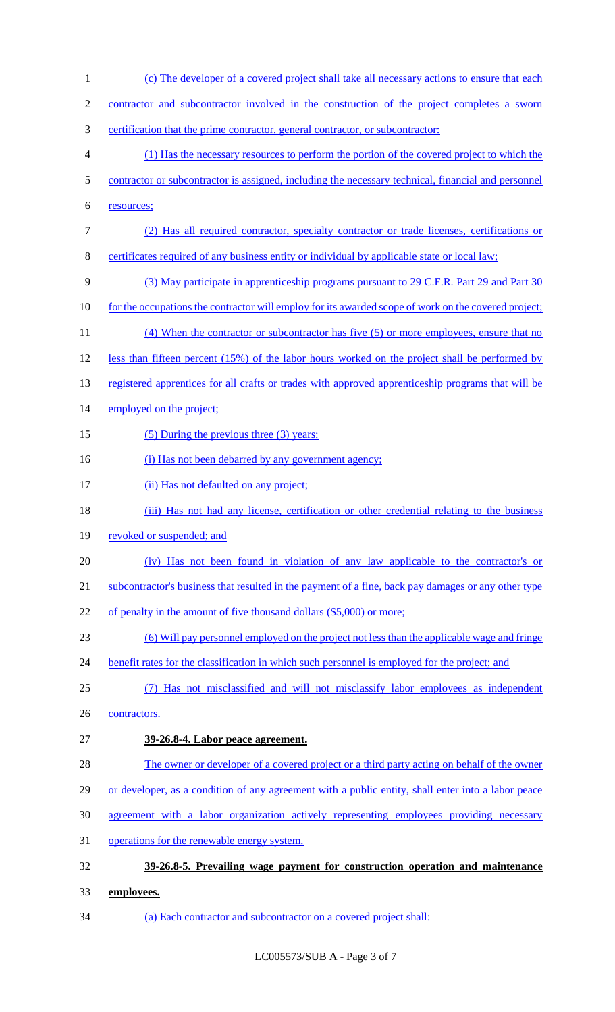1 (c) The developer of a covered project shall take all necessary actions to ensure that each 2 contractor and subcontractor involved in the construction of the project completes a sworn 3 certification that the prime contractor, general contractor, or subcontractor: 4 (1) Has the necessary resources to perform the portion of the covered project to which the 5 contractor or subcontractor is assigned, including the necessary technical, financial and personnel 6 resources; 7 (2) Has all required contractor, specialty contractor or trade licenses, certifications or 8 certificates required of any business entity or individual by applicable state or local law; 9 (3) May participate in apprenticeship programs pursuant to 29 C.F.R. Part 29 and Part 30 10 for the occupations the contractor will employ for its awarded scope of work on the covered project; 11 (4) When the contractor or subcontractor has five (5) or more employees, ensure that no 12 less than fifteen percent (15%) of the labor hours worked on the project shall be performed by 13 registered apprentices for all crafts or trades with approved apprenticeship programs that will be 14 employed on the project; 15 (5) During the previous three (3) years: 16 (i) Has not been debarred by any government agency; 17 (ii) Has not defaulted on any project; 18 (iii) Has not had any license, certification or other credential relating to the business 19 revoked or suspended; and 20 (iv) Has not been found in violation of any law applicable to the contractor's or 21 subcontractor's business that resulted in the payment of a fine, back pay damages or any other type 22 of penalty in the amount of five thousand dollars (\$5,000) or more; 23 (6) Will pay personnel employed on the project not less than the applicable wage and fringe 24 benefit rates for the classification in which such personnel is employed for the project; and 25 (7) Has not misclassified and will not misclassify labor employees as independent 26 contractors. 27 **39-26.8-4. Labor peace agreement.**  28 The owner or developer of a covered project or a third party acting on behalf of the owner 29 or developer, as a condition of any agreement with a public entity, shall enter into a labor peace 30 agreement with a labor organization actively representing employees providing necessary 31 operations for the renewable energy system. 32 **39-26.8-5. Prevailing wage payment for construction operation and maintenance**  33 **employees.**  34 (a) Each contractor and subcontractor on a covered project shall: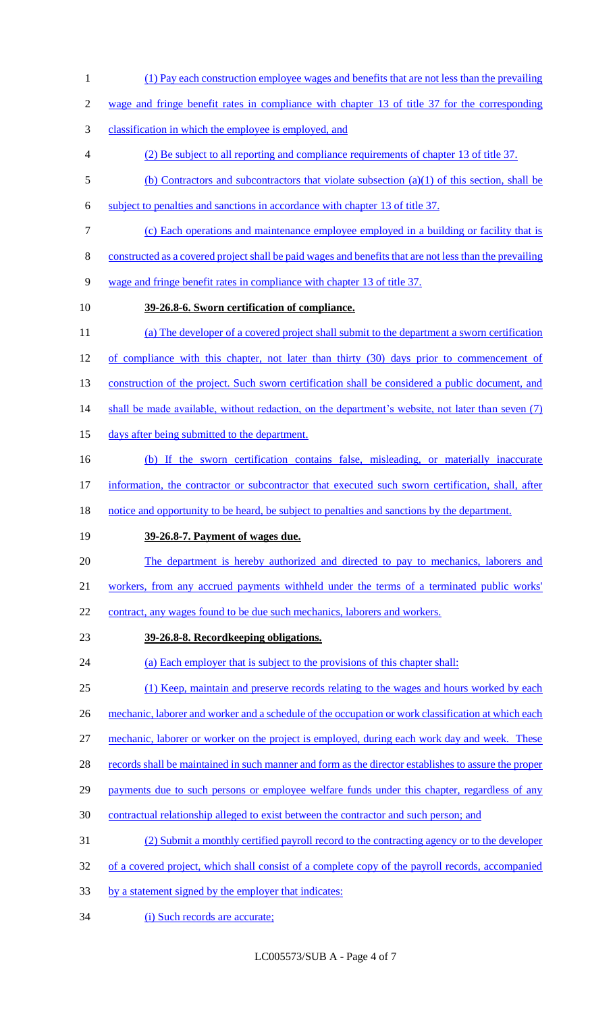- (1) Pay each construction employee wages and benefits that are not less than the prevailing
- wage and fringe benefit rates in compliance with chapter 13 of title 37 for the corresponding
- classification in which the employee is employed, and
- (2) Be subject to all reporting and compliance requirements of chapter 13 of title 37.
- (b) Contractors and subcontractors that violate subsection (a)(1) of this section, shall be
- subject to penalties and sanctions in accordance with chapter 13 of title 37.
- (c) Each operations and maintenance employee employed in a building or facility that is
- constructed as a covered project shall be paid wages and benefits that are not less than the prevailing
- wage and fringe benefit rates in compliance with chapter 13 of title 37.
- 

# **39-26.8-6. Sworn certification of compliance.**

- (a) The developer of a covered project shall submit to the department a sworn certification of compliance with this chapter, not later than thirty (30) days prior to commencement of
- 13 construction of the project. Such sworn certification shall be considered a public document, and
- 14 shall be made available, without redaction, on the department's website, not later than seven (7)
- 15 days after being submitted to the department.
- (b) If the sworn certification contains false, misleading, or materially inaccurate
- information, the contractor or subcontractor that executed such sworn certification, shall, after
- 18 notice and opportunity to be heard, be subject to penalties and sanctions by the department.
- **39-26.8-7. Payment of wages due.**
- The department is hereby authorized and directed to pay to mechanics, laborers and
- workers, from any accrued payments withheld under the terms of a terminated public works'
- 22 contract, any wages found to be due such mechanics, laborers and workers.
- **39-26.8-8. Recordkeeping obligations.**
- 24 (a) Each employer that is subject to the provisions of this chapter shall:
- (1) Keep, maintain and preserve records relating to the wages and hours worked by each
- 26 mechanic, laborer and worker and a schedule of the occupation or work classification at which each
- mechanic, laborer or worker on the project is employed, during each work day and week. These
- 28 records shall be maintained in such manner and form as the director establishes to assure the proper
- 29 payments due to such persons or employee welfare funds under this chapter, regardless of any
- contractual relationship alleged to exist between the contractor and such person; and
- (2) Submit a monthly certified payroll record to the contracting agency or to the developer
- 32 of a covered project, which shall consist of a complete copy of the payroll records, accompanied
- by a statement signed by the employer that indicates:
- 34 (i) Such records are accurate;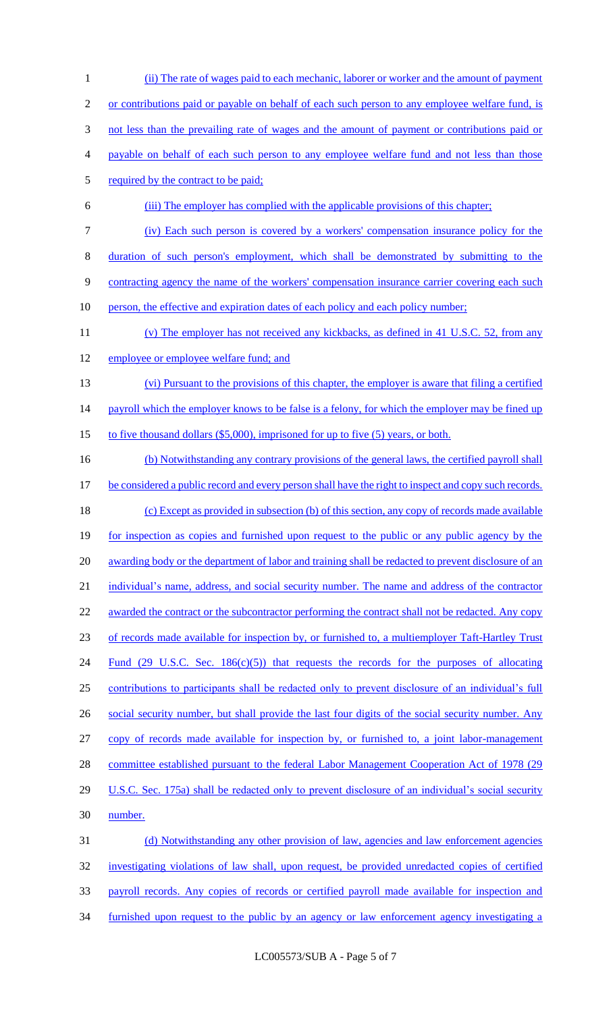1 (ii) The rate of wages paid to each mechanic, laborer or worker and the amount of payment 2 or contributions paid or payable on behalf of each such person to any employee welfare fund, is 3 not less than the prevailing rate of wages and the amount of payment or contributions paid or 4 payable on behalf of each such person to any employee welfare fund and not less than those 5 required by the contract to be paid; 6 (iii) The employer has complied with the applicable provisions of this chapter; 7 (iv) Each such person is covered by a workers' compensation insurance policy for the 8 duration of such person's employment, which shall be demonstrated by submitting to the 9 contracting agency the name of the workers' compensation insurance carrier covering each such 10 person, the effective and expiration dates of each policy and each policy number; 11 (v) The employer has not received any kickbacks, as defined in 41 U.S.C. 52, from any 12 employee or employee welfare fund; and 13 (vi) Pursuant to the provisions of this chapter, the employer is aware that filing a certified 14 payroll which the employer knows to be false is a felony, for which the employer may be fined up 15 to five thousand dollars (\$5,000), imprisoned for up to five (5) years, or both. 16 (b) Notwithstanding any contrary provisions of the general laws, the certified payroll shall 17 be considered a public record and every person shall have the right to inspect and copy such records. 18 (c) Except as provided in subsection (b) of this section, any copy of records made available 19 for inspection as copies and furnished upon request to the public or any public agency by the 20 awarding body or the department of labor and training shall be redacted to prevent disclosure of an 21 individual's name, address, and social security number. The name and address of the contractor 22 awarded the contract or the subcontractor performing the contract shall not be redacted. Any copy 23 of records made available for inspection by, or furnished to, a multiemployer Taft-Hartley Trust 24 Fund (29 U.S.C. Sec. 186(c)(5)) that requests the records for the purposes of allocating 25 contributions to participants shall be redacted only to prevent disclosure of an individual's full 26 social security number, but shall provide the last four digits of the social security number. Any 27 copy of records made available for inspection by, or furnished to, a joint labor-management 28 committee established pursuant to the federal Labor Management Cooperation Act of 1978 (29 29 U.S.C. Sec. 175a) shall be redacted only to prevent disclosure of an individual's social security 30 number. 31 (d) Notwithstanding any other provision of law, agencies and law enforcement agencies 32 investigating violations of law shall, upon request, be provided unredacted copies of certified 33 payroll records. Any copies of records or certified payroll made available for inspection and 34 furnished upon request to the public by an agency or law enforcement agency investigating a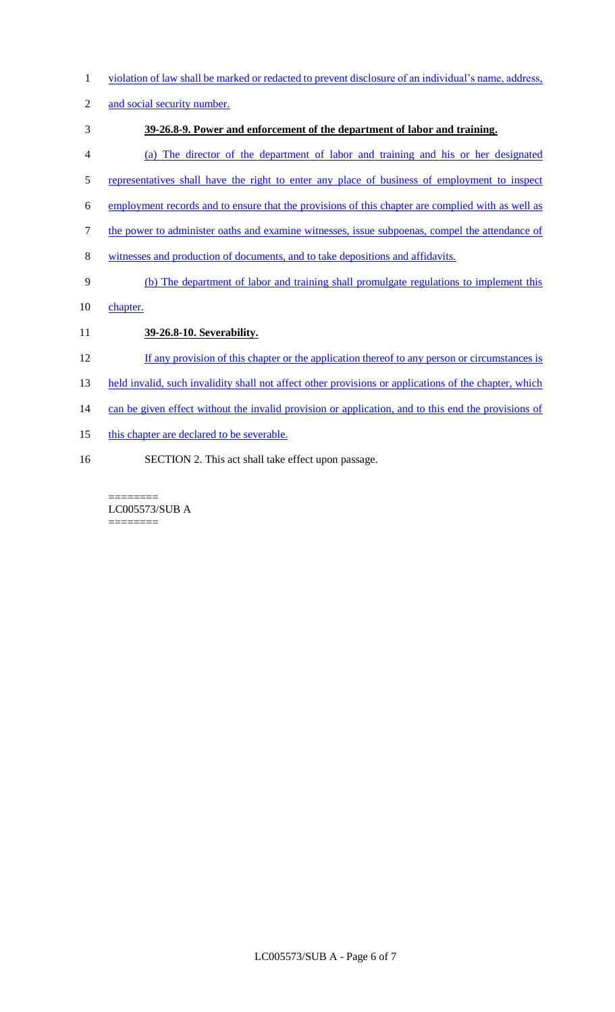- 1 violation of law shall be marked or redacted to prevent disclosure of an individual's name, address,
- 2 and social security number.
- 3 **39-26.8-9. Power and enforcement of the department of labor and training.**
- 4 (a) The director of the department of labor and training and his or her designated
- 5 representatives shall have the right to enter any place of business of employment to inspect
- 6 employment records and to ensure that the provisions of this chapter are complied with as well as
- 7 the power to administer oaths and examine witnesses, issue subpoenas, compel the attendance of
- 8 witnesses and production of documents, and to take depositions and affidavits.
- 9 (b) The department of labor and training shall promulgate regulations to implement this
- 10 chapter.
- 11 **39-26.8-10. Severability.**
- 12 If any provision of this chapter or the application thereof to any person or circumstances is
- 13 held invalid, such invalidity shall not affect other provisions or applications of the chapter, which
- 14 can be given effect without the invalid provision or application, and to this end the provisions of
- 15 this chapter are declared to be severable.
- 16 SECTION 2. This act shall take effect upon passage.

======== LC005573/SUB A ========